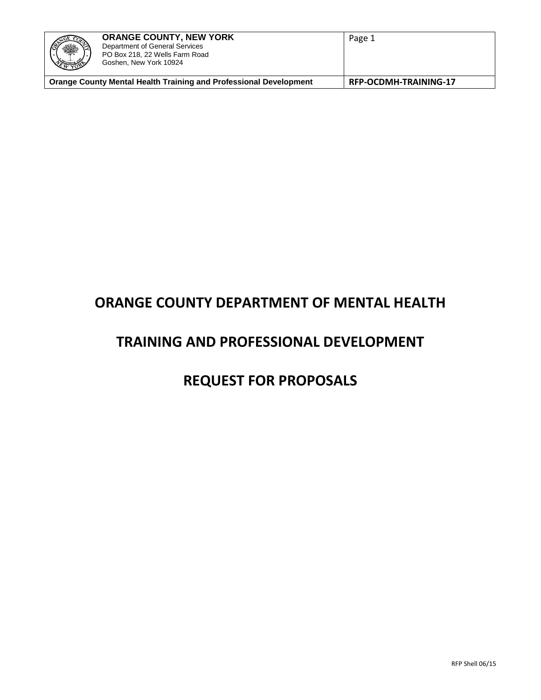| <u>ZGE CO2</u><br>※ | <b>ORANGE COUNTY, NEW YORK</b><br>Department of General Services<br>PO Box 218, 22 Wells Farm Road<br>Goshen, New York 10924 | Page 1                |
|---------------------|------------------------------------------------------------------------------------------------------------------------------|-----------------------|
|                     | <b>Orange County Mental Health Training and Professional Development</b>                                                     | RFP-OCDMH-TRAINING-17 |

# **ORANGE COUNTY DEPARTMENT OF MENTAL HEALTH**

# **TRAINING AND PROFESSIONAL DEVELOPMENT**

# **REQUEST FOR PROPOSALS**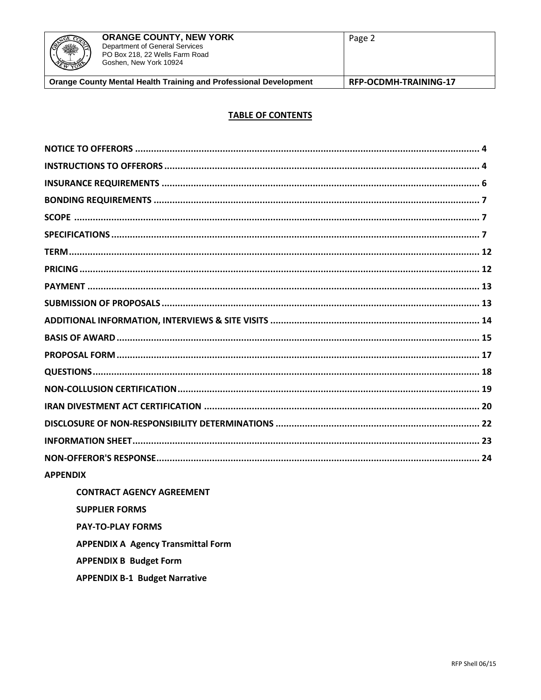

#### **TABLE OF CONTENTS**

| <b>APPENDIX</b>           |
|---------------------------|
| CONTRACT ACENCY ACREEMENT |

**CONTRACT AGENCY AGREEMENT SUPPLIER FORMS PAY-TO-PLAY FORMS APPENDIX A Agency Transmittal Form APPENDIX B Budget Form** 

**APPENDIX B-1 Budget Narrative**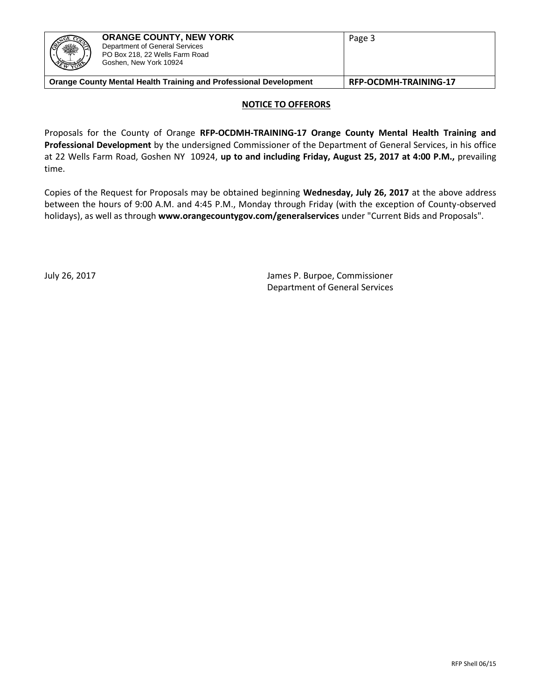| <b>CONTROLLED</b><br><b>REAL AND REAL PROPERTY</b> | <b>ORANGE COUNTY, NEW YORK</b><br>Department of General Services<br>PO Box 218, 22 Wells Farm Road<br>Goshen, New York 10924 | Page 3                |
|----------------------------------------------------|------------------------------------------------------------------------------------------------------------------------------|-----------------------|
|                                                    | <b>Orange County Mental Health Training and Professional Development</b>                                                     | RFP-OCDMH-TRAINING-17 |

#### **NOTICE TO OFFERORS**

Proposals for the County of Orange **RFP-OCDMH-TRAINING-17 Orange County Mental Health Training and Professional Development** by the undersigned Commissioner of the Department of General Services, in his office at 22 Wells Farm Road, Goshen NY 10924, **up to and including Friday, August 25, 2017 at 4:00 P.M.,** prevailing time.

Copies of the Request for Proposals may be obtained beginning **Wednesday, July 26, 2017** at the above address between the hours of 9:00 A.M. and 4:45 P.M., Monday through Friday (with the exception of County-observed holidays), as well as through **www.orangecountygov.com/generalservices** under "Current Bids and Proposals".

July 26, 2017 James P. Burpoe, Commissioner Department of General Services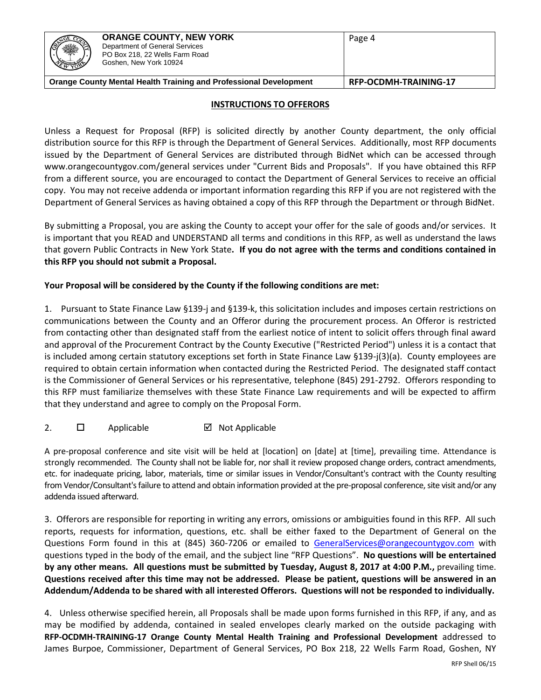| ZGE CO<br>※<br>EWYOR <sup></sup> | <b>ORANGE COUNTY, NEW YORK</b><br>Department of General Services<br>PO Box 218, 22 Wells Farm Road<br>Goshen, New York 10924 | Page 4 |
|----------------------------------|------------------------------------------------------------------------------------------------------------------------------|--------|
|                                  | Orange County Mental Health Training and Professional Development<br>RFP-OCDMH-TRAINING-17                                   |        |

#### **INSTRUCTIONS TO OFFERORS**

Unless a Request for Proposal (RFP) is solicited directly by another County department, the only official distribution source for this RFP is through the Department of General Services. Additionally, most RFP documents issued by the Department of General Services are distributed through BidNet which can be accessed through www.orangecountygov.com/general services under "Current Bids and Proposals". If you have obtained this RFP from a different source, you are encouraged to contact the Department of General Services to receive an official copy. You may not receive addenda or important information regarding this RFP if you are not registered with the Department of General Services as having obtained a copy of this RFP through the Department or through BidNet.

By submitting a Proposal, you are asking the County to accept your offer for the sale of goods and/or services. It is important that you READ and UNDERSTAND all terms and conditions in this RFP, as well as understand the laws that govern Public Contracts in New York State**. If you do not agree with the terms and conditions contained in this RFP you should not submit a Proposal.**

## **Your Proposal will be considered by the County if the following conditions are met:**

1.Pursuant to State Finance Law §139-j and §139-k, this solicitation includes and imposes certain restrictions on communications between the County and an Offeror during the procurement process. An Offeror is restricted from contacting other than designated staff from the earliest notice of intent to solicit offers through final award and approval of the Procurement Contract by the County Executive ("Restricted Period") unless it is a contact that is included among certain statutory exceptions set forth in State Finance Law §139-j(3)(a). County employees are required to obtain certain information when contacted during the Restricted Period. The designated staff contact is the Commissioner of General Services or his representative, telephone (845) 291-2792. Offerors responding to this RFP must familiarize themselves with these State Finance Law requirements and will be expected to affirm that they understand and agree to comply on the Proposal Form.

2.  $\Box$  Applicable  $\Box$  Not Applicable

A pre-proposal conference and site visit will be held at [location] on [date] at [time], prevailing time. Attendance is strongly recommended. The County shall not be liable for, nor shall it review proposed change orders, contract amendments, etc. for inadequate pricing, labor, materials, time or similar issues in Vendor/Consultant's contract with the County resulting from Vendor/Consultant's failure to attend and obtain information provided at the pre-proposal conference, site visit and/or any addenda issued afterward.

3. Offerors are responsible for reporting in writing any errors, omissions or ambiguities found in this RFP. All such reports, requests for information, questions, etc. shall be either faxed to the Department of General on the Questions Form found in this at (845) 360-7206 or emailed to [GeneralServices@orangecountygov.com](mailto:GeneralServices@orangecountygov.com) with questions typed in the body of the email, and the subject line "RFP Questions". **No questions will be entertained by any other means. All questions must be submitted by Tuesday, August 8, 2017 at 4:00 P.M.,** prevailing time. **Questions received after this time may not be addressed. Please be patient, questions will be answered in an Addendum/Addenda to be shared with all interested Offerors. Questions will not be responded to individually.** 

4.Unless otherwise specified herein, all Proposals shall be made upon forms furnished in this RFP, if any, and as may be modified by addenda, contained in sealed envelopes clearly marked on the outside packaging with **RFP-OCDMH-TRAINING-17 Orange County Mental Health Training and Professional Development** addressed to James Burpoe, Commissioner, Department of General Services, PO Box 218, 22 Wells Farm Road, Goshen, NY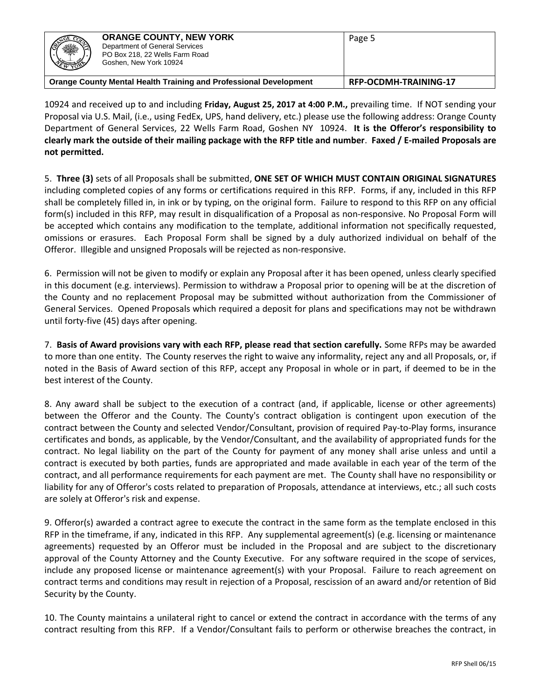| ※<br><b>EMBRAY</b> | <b>ORANGE COUNTY, NEW YORK</b><br>Department of General Services<br>PO Box 218, 22 Wells Farm Road<br>Goshen, New York 10924 | Page 5                       |
|--------------------|------------------------------------------------------------------------------------------------------------------------------|------------------------------|
|                    | <b>Orange County Mental Health Training and Professional Development</b>                                                     | <b>RFP-OCDMH-TRAINING-17</b> |

10924 and received up to and including **Friday, August 25, 2017 at 4:00 P.M.,** prevailing time. If NOT sending your Proposal via U.S. Mail, (i.e., using FedEx, UPS, hand delivery, etc.) please use the following address: Orange County Department of General Services, 22 Wells Farm Road, Goshen NY 10924. **It is the Offeror's responsibility to clearly mark the outside of their mailing package with the RFP title and number**. **Faxed / E-mailed Proposals are not permitted.**

5. **Three (3)** sets of all Proposals shall be submitted, **ONE SET OF WHICH MUST CONTAIN ORIGINAL SIGNATURES**  including completed copies of any forms or certifications required in this RFP. Forms, if any, included in this RFP shall be completely filled in, in ink or by typing, on the original form. Failure to respond to this RFP on any official form(s) included in this RFP, may result in disqualification of a Proposal as non-responsive. No Proposal Form will be accepted which contains any modification to the template, additional information not specifically requested, omissions or erasures. Each Proposal Form shall be signed by a duly authorized individual on behalf of the Offeror. Illegible and unsigned Proposals will be rejected as non-responsive.

6. Permission will not be given to modify or explain any Proposal after it has been opened, unless clearly specified in this document (e.g. interviews). Permission to withdraw a Proposal prior to opening will be at the discretion of the County and no replacement Proposal may be submitted without authorization from the Commissioner of General Services. Opened Proposals which required a deposit for plans and specifications may not be withdrawn until forty-five (45) days after opening.

7. **Basis of Award provisions vary with each RFP, please read that section carefully.** Some RFPs may be awarded to more than one entity. The County reserves the right to waive any informality, reject any and all Proposals, or, if noted in the Basis of Award section of this RFP, accept any Proposal in whole or in part, if deemed to be in the best interest of the County.

8. Any award shall be subject to the execution of a contract (and, if applicable, license or other agreements) between the Offeror and the County. The County's contract obligation is contingent upon execution of the contract between the County and selected Vendor/Consultant, provision of required Pay-to-Play forms, insurance certificates and bonds, as applicable, by the Vendor/Consultant, and the availability of appropriated funds for the contract. No legal liability on the part of the County for payment of any money shall arise unless and until a contract is executed by both parties, funds are appropriated and made available in each year of the term of the contract, and all performance requirements for each payment are met. The County shall have no responsibility or liability for any of Offeror's costs related to preparation of Proposals, attendance at interviews, etc.; all such costs are solely at Offeror's risk and expense.

9. Offeror(s) awarded a contract agree to execute the contract in the same form as the template enclosed in this RFP in the timeframe, if any, indicated in this RFP. Any supplemental agreement(s) (e.g. licensing or maintenance agreements) requested by an Offeror must be included in the Proposal and are subject to the discretionary approval of the County Attorney and the County Executive. For any software required in the scope of services, include any proposed license or maintenance agreement(s) with your Proposal. Failure to reach agreement on contract terms and conditions may result in rejection of a Proposal, rescission of an award and/or retention of Bid Security by the County.

10. The County maintains a unilateral right to cancel or extend the contract in accordance with the terms of any contract resulting from this RFP. If a Vendor/Consultant fails to perform or otherwise breaches the contract, in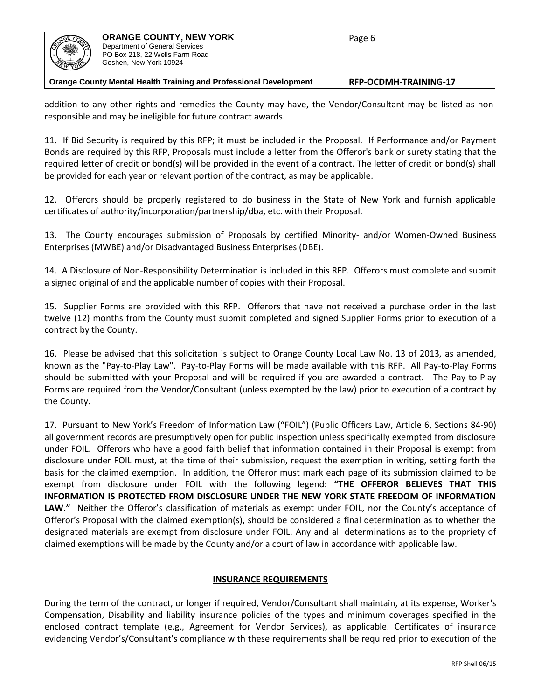| 2000<br><b>PEMBER</b> | <b>ORANGE COUNTY, NEW YORK</b><br>Department of General Services<br>PO Box 218, 22 Wells Farm Road<br>Goshen, New York 10924 | Page 6 |
|-----------------------|------------------------------------------------------------------------------------------------------------------------------|--------|
|                       | <b>Orange County Mental Health Training and Professional Development</b><br>RFP-OCDMH-TRAINING-17                            |        |

addition to any other rights and remedies the County may have, the Vendor/Consultant may be listed as nonresponsible and may be ineligible for future contract awards.

11. If Bid Security is required by this RFP; it must be included in the Proposal. If Performance and/or Payment Bonds are required by this RFP, Proposals must include a letter from the Offeror's bank or surety stating that the required letter of credit or bond(s) will be provided in the event of a contract. The letter of credit or bond(s) shall be provided for each year or relevant portion of the contract, as may be applicable.

12. Offerors should be properly registered to do business in the State of New York and furnish applicable certificates of authority/incorporation/partnership/dba, etc. with their Proposal.

13. The County encourages submission of Proposals by certified Minority- and/or Women-Owned Business Enterprises (MWBE) and/or Disadvantaged Business Enterprises (DBE).

14. A Disclosure of Non-Responsibility Determination is included in this RFP. Offerors must complete and submit a signed original of and the applicable number of copies with their Proposal.

15. Supplier Forms are provided with this RFP. Offerors that have not received a purchase order in the last twelve (12) months from the County must submit completed and signed Supplier Forms prior to execution of a contract by the County.

16. Please be advised that this solicitation is subject to Orange County Local Law No. 13 of 2013, as amended, known as the "Pay-to-Play Law". Pay-to-Play Forms will be made available with this RFP. All Pay-to-Play Forms should be submitted with your Proposal and will be required if you are awarded a contract. The Pay-to-Play Forms are required from the Vendor/Consultant (unless exempted by the law) prior to execution of a contract by the County.

17. Pursuant to New York's Freedom of Information Law ("FOIL") (Public Officers Law, Article 6, Sections 84-90) all government records are presumptively open for public inspection unless specifically exempted from disclosure under FOIL. Offerors who have a good faith belief that information contained in their Proposal is exempt from disclosure under FOIL must, at the time of their submission, request the exemption in writing, setting forth the basis for the claimed exemption. In addition, the Offeror must mark each page of its submission claimed to be exempt from disclosure under FOIL with the following legend: **"THE OFFEROR BELIEVES THAT THIS INFORMATION IS PROTECTED FROM DISCLOSURE UNDER THE NEW YORK STATE FREEDOM OF INFORMATION LAW."** Neither the Offeror's classification of materials as exempt under FOIL, nor the County's acceptance of Offeror's Proposal with the claimed exemption(s), should be considered a final determination as to whether the designated materials are exempt from disclosure under FOIL. Any and all determinations as to the propriety of claimed exemptions will be made by the County and/or a court of law in accordance with applicable law.

#### **INSURANCE REQUIREMENTS**

During the term of the contract, or longer if required, Vendor/Consultant shall maintain, at its expense, Worker's Compensation, Disability and liability insurance policies of the types and minimum coverages specified in the enclosed contract template (e.g., Agreement for Vendor Services), as applicable. Certificates of insurance evidencing Vendor's/Consultant's compliance with these requirements shall be required prior to execution of the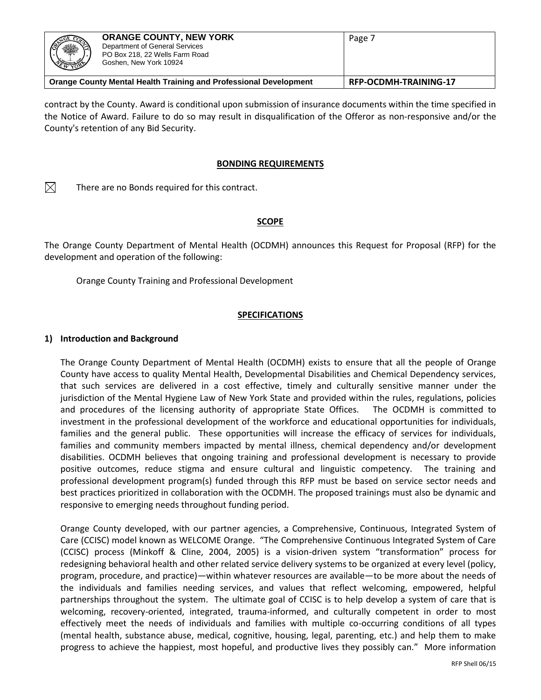| ※                                                                 | <b>ORANGE COUNTY, NEW YORK</b><br>Department of General Services<br>PO Box 218, 22 Wells Farm Road<br>Goshen, New York 10924 | Page 7                |
|-------------------------------------------------------------------|------------------------------------------------------------------------------------------------------------------------------|-----------------------|
| Orange County Mental Health Training and Professional Development |                                                                                                                              | RFP-OCDMH-TRAINING-17 |

contract by the County. Award is conditional upon submission of insurance documents within the time specified in the Notice of Award. Failure to do so may result in disqualification of the Offeror as non-responsive and/or the County's retention of any Bid Security.

#### **BONDING REQUIREMENTS**

 $\boxtimes$ There are no Bonds required for this contract.

#### **SCOPE**

The Orange County Department of Mental Health (OCDMH) announces this Request for Proposal (RFP) for the development and operation of the following:

Orange County Training and Professional Development

#### **SPECIFICATIONS**

#### **1) Introduction and Background**

The Orange County Department of Mental Health (OCDMH) exists to ensure that all the people of Orange County have access to quality Mental Health, Developmental Disabilities and Chemical Dependency services, that such services are delivered in a cost effective, timely and culturally sensitive manner under the jurisdiction of the Mental Hygiene Law of New York State and provided within the rules, regulations, policies and procedures of the licensing authority of appropriate State Offices. The OCDMH is committed to investment in the professional development of the workforce and educational opportunities for individuals, families and the general public. These opportunities will increase the efficacy of services for individuals, families and community members impacted by mental illness, chemical dependency and/or development disabilities. OCDMH believes that ongoing training and professional development is necessary to provide positive outcomes, reduce stigma and ensure cultural and linguistic competency. The training and professional development program(s) funded through this RFP must be based on service sector needs and best practices prioritized in collaboration with the OCDMH. The proposed trainings must also be dynamic and responsive to emerging needs throughout funding period.

Orange County developed, with our partner agencies, a Comprehensive, Continuous, Integrated System of Care (CCISC) model known as WELCOME Orange. "The Comprehensive Continuous Integrated System of Care (CCISC) process (Minkoff & Cline, 2004, 2005) is a vision-driven system "transformation" process for redesigning behavioral health and other related service delivery systems to be organized at every level (policy, program, procedure, and practice)—within whatever resources are available—to be more about the needs of the individuals and families needing services, and values that reflect welcoming, empowered, helpful partnerships throughout the system. The ultimate goal of CCISC is to help develop a system of care that is welcoming, recovery-oriented, integrated, trauma-informed, and culturally competent in order to most effectively meet the needs of individuals and families with multiple co-occurring conditions of all types (mental health, substance abuse, medical, cognitive, housing, legal, parenting, etc.) and help them to make progress to achieve the happiest, most hopeful, and productive lives they possibly can." More information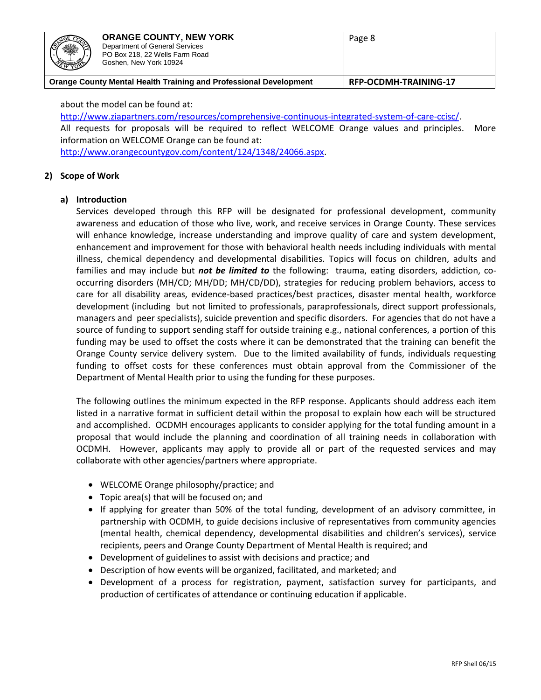| <b>READER</b><br>۰۱<br><b>XXXXXXX</b> | <b>ORANGE COUNTY, NEW YORK</b><br>Department of General Services<br>PO Box 218, 22 Wells Farm Road<br>Goshen, New York 10924 | Page 8 |
|---------------------------------------|------------------------------------------------------------------------------------------------------------------------------|--------|
|                                       | Orange County Mental Health Training and Professional Development<br><b>RFP-OCDMH-TRAINING-17</b>                            |        |

about the model can be found at:

[http://www.ziapartners.com/resources/comprehensive-continuous-integrated-system-of-care-ccisc/.](http://www.ziapartners.com/resources/comprehensive-continuous-integrated-system-of-care-ccisc/)

All requests for proposals will be required to reflect WELCOME Orange values and principles. More information on WELCOME Orange can be found at:

[http://www.orangecountygov.com/content/124/1348/24066.aspx.](http://www.orangecountygov.com/content/124/1348/24066.aspx)

#### **2) Scope of Work**

#### **a) Introduction**

Services developed through this RFP will be designated for professional development, community awareness and education of those who live, work, and receive services in Orange County. These services will enhance knowledge, increase understanding and improve quality of care and system development, enhancement and improvement for those with behavioral health needs including individuals with mental illness, chemical dependency and developmental disabilities. Topics will focus on children, adults and families and may include but *not be limited to* the following: trauma, eating disorders, addiction, cooccurring disorders (MH/CD; MH/DD; MH/CD/DD), strategies for reducing problem behaviors, access to care for all disability areas, evidence-based practices/best practices, disaster mental health, workforce development (including but not limited to professionals, paraprofessionals, direct support professionals, managers and peer specialists), suicide prevention and specific disorders. For agencies that do not have a source of funding to support sending staff for outside training e.g., national conferences, a portion of this funding may be used to offset the costs where it can be demonstrated that the training can benefit the Orange County service delivery system. Due to the limited availability of funds, individuals requesting funding to offset costs for these conferences must obtain approval from the Commissioner of the Department of Mental Health prior to using the funding for these purposes.

The following outlines the minimum expected in the RFP response. Applicants should address each item listed in a narrative format in sufficient detail within the proposal to explain how each will be structured and accomplished. OCDMH encourages applicants to consider applying for the total funding amount in a proposal that would include the planning and coordination of all training needs in collaboration with OCDMH. However, applicants may apply to provide all or part of the requested services and may collaborate with other agencies/partners where appropriate.

- WELCOME Orange philosophy/practice; and
- Topic area(s) that will be focused on; and
- If applying for greater than 50% of the total funding, development of an advisory committee, in partnership with OCDMH, to guide decisions inclusive of representatives from community agencies (mental health, chemical dependency, developmental disabilities and children's services), service recipients, peers and Orange County Department of Mental Health is required; and
- Development of guidelines to assist with decisions and practice; and
- Description of how events will be organized, facilitated, and marketed; and
- Development of a process for registration, payment, satisfaction survey for participants, and production of certificates of attendance or continuing education if applicable.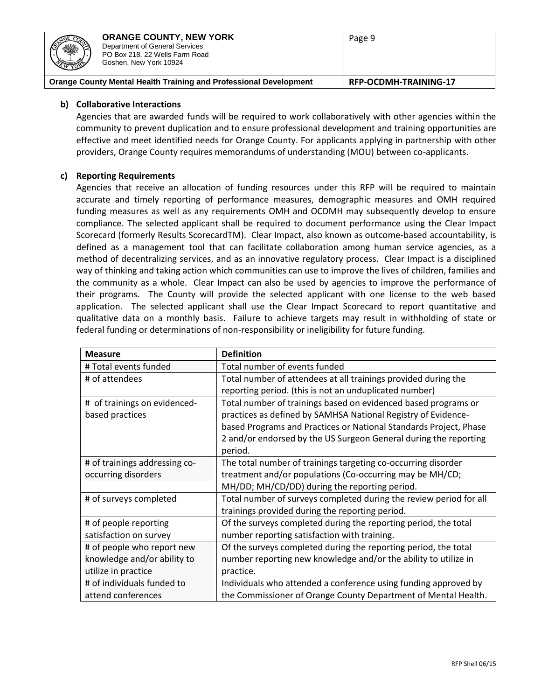| ※<br><b>REAL</b>                                                                                  | <b>ORANGE COUNTY, NEW YORK</b><br>Department of General Services<br>PO Box 218, 22 Wells Farm Road<br>Goshen, New York 10924 | Page 9 |
|---------------------------------------------------------------------------------------------------|------------------------------------------------------------------------------------------------------------------------------|--------|
| <b>Orange County Mental Health Training and Professional Development</b><br>RFP-OCDMH-TRAINING-17 |                                                                                                                              |        |

#### **b) Collaborative Interactions**

Agencies that are awarded funds will be required to work collaboratively with other agencies within the community to prevent duplication and to ensure professional development and training opportunities are effective and meet identified needs for Orange County. For applicants applying in partnership with other providers, Orange County requires memorandums of understanding (MOU) between co-applicants.

## **c) Reporting Requirements**

Agencies that receive an allocation of funding resources under this RFP will be required to maintain accurate and timely reporting of performance measures, demographic measures and OMH required funding measures as well as any requirements OMH and OCDMH may subsequently develop to ensure compliance. The selected applicant shall be required to document performance using the Clear Impact Scorecard (formerly Results ScorecardTM). Clear Impact, also known as outcome-based accountability, is defined as a management tool that can facilitate collaboration among human service agencies, as a method of decentralizing services, and as an innovative regulatory process. Clear Impact is a disciplined way of thinking and taking action which communities can use to improve the lives of children, families and the community as a whole. Clear Impact can also be used by agencies to improve the performance of their programs. The County will provide the selected applicant with one license to the web based application. The selected applicant shall use the Clear Impact Scorecard to report quantitative and qualitative data on a monthly basis. Failure to achieve targets may result in withholding of state or federal funding or determinations of non-responsibility or ineligibility for future funding.

| <b>Measure</b>                | <b>Definition</b>                                                  |
|-------------------------------|--------------------------------------------------------------------|
| # Total events funded         | Total number of events funded                                      |
| # of attendees                | Total number of attendees at all trainings provided during the     |
|                               | reporting period. (this is not an unduplicated number)             |
| # of trainings on evidenced-  | Total number of trainings based on evidenced based programs or     |
| based practices               | practices as defined by SAMHSA National Registry of Evidence-      |
|                               | based Programs and Practices or National Standards Project, Phase  |
|                               | 2 and/or endorsed by the US Surgeon General during the reporting   |
|                               | period.                                                            |
| # of trainings addressing co- | The total number of trainings targeting co-occurring disorder      |
| occurring disorders           | treatment and/or populations (Co-occurring may be MH/CD;           |
|                               | MH/DD; MH/CD/DD) during the reporting period.                      |
| # of surveys completed        | Total number of surveys completed during the review period for all |
|                               | trainings provided during the reporting period.                    |
| # of people reporting         | Of the surveys completed during the reporting period, the total    |
| satisfaction on survey        | number reporting satisfaction with training.                       |
| # of people who report new    | Of the surveys completed during the reporting period, the total    |
| knowledge and/or ability to   | number reporting new knowledge and/or the ability to utilize in    |
| utilize in practice           | practice.                                                          |
| # of individuals funded to    | Individuals who attended a conference using funding approved by    |
| attend conferences            | the Commissioner of Orange County Department of Mental Health.     |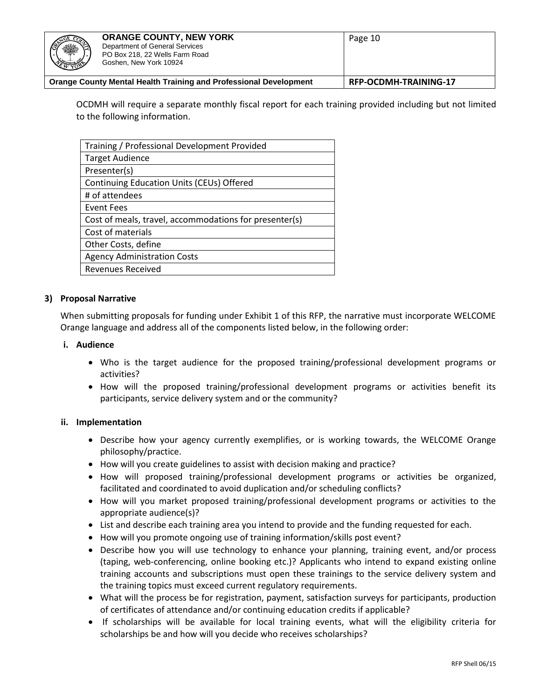| 131 | <b>ORANGE COUNTY, NEW YORK</b><br>Department of General Services<br>PO Box 218, 22 Wells Farm Road<br>Goshen, New York 10924 | Page 10 |
|-----|------------------------------------------------------------------------------------------------------------------------------|---------|
|     | Orange County Mental Health Training and Professional Development<br>RFP-OCDMH-TRAINING-17                                   |         |

OCDMH will require a separate monthly fiscal report for each training provided including but not limited to the following information.

| Training / Professional Development Provided           |
|--------------------------------------------------------|
| <b>Target Audience</b>                                 |
| Presenter(s)                                           |
| Continuing Education Units (CEUs) Offered              |
| # of attendees                                         |
| <b>Event Fees</b>                                      |
| Cost of meals, travel, accommodations for presenter(s) |
| Cost of materials                                      |
| Other Costs, define                                    |
| <b>Agency Administration Costs</b>                     |
| <b>Revenues Received</b>                               |

#### **3) Proposal Narrative**

When submitting proposals for funding under Exhibit 1 of this RFP, the narrative must incorporate WELCOME Orange language and address all of the components listed below, in the following order:

#### **i. Audience**

- Who is the target audience for the proposed training/professional development programs or activities?
- How will the proposed training/professional development programs or activities benefit its participants, service delivery system and or the community?

#### **ii. Implementation**

- Describe how your agency currently exemplifies, or is working towards, the WELCOME Orange philosophy/practice.
- How will you create guidelines to assist with decision making and practice?
- How will proposed training/professional development programs or activities be organized, facilitated and coordinated to avoid duplication and/or scheduling conflicts?
- How will you market proposed training/professional development programs or activities to the appropriate audience(s)?
- List and describe each training area you intend to provide and the funding requested for each.
- How will you promote ongoing use of training information/skills post event?
- Describe how you will use technology to enhance your planning, training event, and/or process (taping, web-conferencing, online booking etc.)? Applicants who intend to expand existing online training accounts and subscriptions must open these trainings to the service delivery system and the training topics must exceed current regulatory requirements.
- What will the process be for registration, payment, satisfaction surveys for participants, production of certificates of attendance and/or continuing education credits if applicable?
- If scholarships will be available for local training events, what will the eligibility criteria for scholarships be and how will you decide who receives scholarships?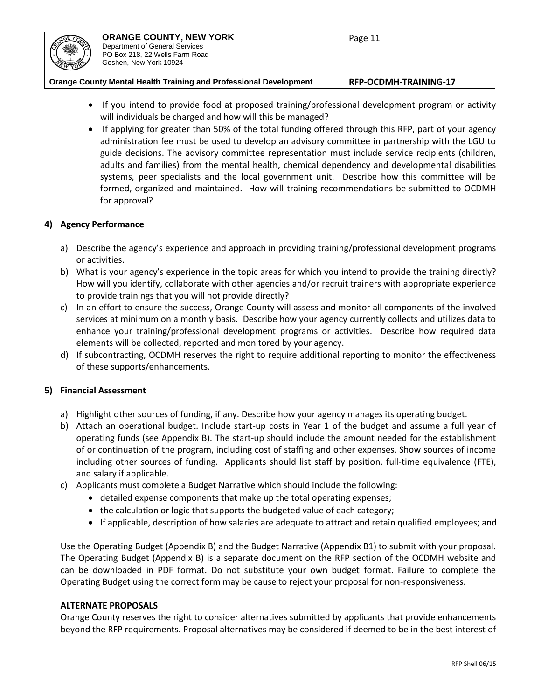- If you intend to provide food at proposed training/professional development program or activity will individuals be charged and how will this be managed?
- If applying for greater than 50% of the total funding offered through this RFP, part of your agency administration fee must be used to develop an advisory committee in partnership with the LGU to guide decisions. The advisory committee representation must include service recipients (children, adults and families) from the mental health, chemical dependency and developmental disabilities systems, peer specialists and the local government unit. Describe how this committee will be formed, organized and maintained. How will training recommendations be submitted to OCDMH for approval?

## **4) Agency Performance**

- a) Describe the agency's experience and approach in providing training/professional development programs or activities.
- b) What is your agency's experience in the topic areas for which you intend to provide the training directly? How will you identify, collaborate with other agencies and/or recruit trainers with appropriate experience to provide trainings that you will not provide directly?
- c) In an effort to ensure the success, Orange County will assess and monitor all components of the involved services at minimum on a monthly basis. Describe how your agency currently collects and utilizes data to enhance your training/professional development programs or activities. Describe how required data elements will be collected, reported and monitored by your agency.
- d) If subcontracting, OCDMH reserves the right to require additional reporting to monitor the effectiveness of these supports/enhancements.

# **5) Financial Assessment**

- a) Highlight other sources of funding, if any. Describe how your agency manages its operating budget.
- b) Attach an operational budget. Include start-up costs in Year 1 of the budget and assume a full year of operating funds (see Appendix B). The start-up should include the amount needed for the establishment of or continuation of the program, including cost of staffing and other expenses. Show sources of income including other sources of funding. Applicants should list staff by position, full-time equivalence (FTE), and salary if applicable.
- c) Applicants must complete a Budget Narrative which should include the following:
	- detailed expense components that make up the total operating expenses;
	- the calculation or logic that supports the budgeted value of each category;
	- If applicable, description of how salaries are adequate to attract and retain qualified employees; and

Use the Operating Budget (Appendix B) and the Budget Narrative (Appendix B1) to submit with your proposal. The Operating Budget (Appendix B) is a separate document on the RFP section of the OCDMH website and can be downloaded in PDF format. Do not substitute your own budget format. Failure to complete the Operating Budget using the correct form may be cause to reject your proposal for non-responsiveness.

#### **ALTERNATE PROPOSALS**

Orange County reserves the right to consider alternatives submitted by applicants that provide enhancements beyond the RFP requirements. Proposal alternatives may be considered if deemed to be in the best interest of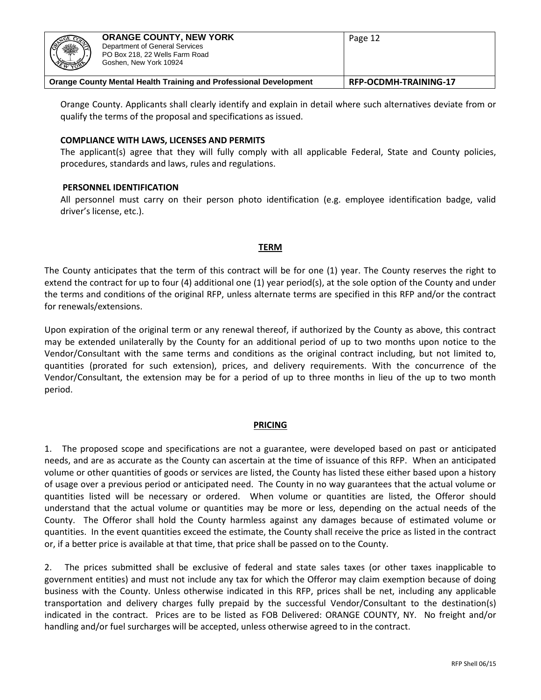| <b>ANGE CO</b><br>※<br><b>CITY OF THE REAL PROPERTY</b>                  | <b>ORANGE COUNTY, NEW YORK</b><br>Department of General Services<br>PO Box 218, 22 Wells Farm Road<br>Goshen, New York 10924 | Page 12                      |
|--------------------------------------------------------------------------|------------------------------------------------------------------------------------------------------------------------------|------------------------------|
| <b>Orange County Mental Health Training and Professional Development</b> |                                                                                                                              | <b>RFP-OCDMH-TRAINING-17</b> |

Orange County. Applicants shall clearly identify and explain in detail where such alternatives deviate from or qualify the terms of the proposal and specifications as issued.

#### **COMPLIANCE WITH LAWS, LICENSES AND PERMITS**

The applicant(s) agree that they will fully comply with all applicable Federal, State and County policies, procedures, standards and laws, rules and regulations.

#### **PERSONNEL IDENTIFICATION**

All personnel must carry on their person photo identification (e.g. employee identification badge, valid driver's license, etc.).

#### **TERM**

The County anticipates that the term of this contract will be for one (1) year. The County reserves the right to extend the contract for up to four (4) additional one (1) year period(s), at the sole option of the County and under the terms and conditions of the original RFP, unless alternate terms are specified in this RFP and/or the contract for renewals/extensions.

Upon expiration of the original term or any renewal thereof, if authorized by the County as above, this contract may be extended unilaterally by the County for an additional period of up to two months upon notice to the Vendor/Consultant with the same terms and conditions as the original contract including, but not limited to, quantities (prorated for such extension), prices, and delivery requirements. With the concurrence of the Vendor/Consultant, the extension may be for a period of up to three months in lieu of the up to two month period.

#### **PRICING**

1. The proposed scope and specifications are not a guarantee, were developed based on past or anticipated needs, and are as accurate as the County can ascertain at the time of issuance of this RFP. When an anticipated volume or other quantities of goods or services are listed, the County has listed these either based upon a history of usage over a previous period or anticipated need. The County in no way guarantees that the actual volume or quantities listed will be necessary or ordered. When volume or quantities are listed, the Offeror should understand that the actual volume or quantities may be more or less, depending on the actual needs of the County. The Offeror shall hold the County harmless against any damages because of estimated volume or quantities. In the event quantities exceed the estimate, the County shall receive the price as listed in the contract or, if a better price is available at that time, that price shall be passed on to the County.

2. The prices submitted shall be exclusive of federal and state sales taxes (or other taxes inapplicable to government entities) and must not include any tax for which the Offeror may claim exemption because of doing business with the County. Unless otherwise indicated in this RFP, prices shall be net, including any applicable transportation and delivery charges fully prepaid by the successful Vendor/Consultant to the destination(s) indicated in the contract. Prices are to be listed as FOB Delivered: ORANGE COUNTY, NY. No freight and/or handling and/or fuel surcharges will be accepted, unless otherwise agreed to in the contract.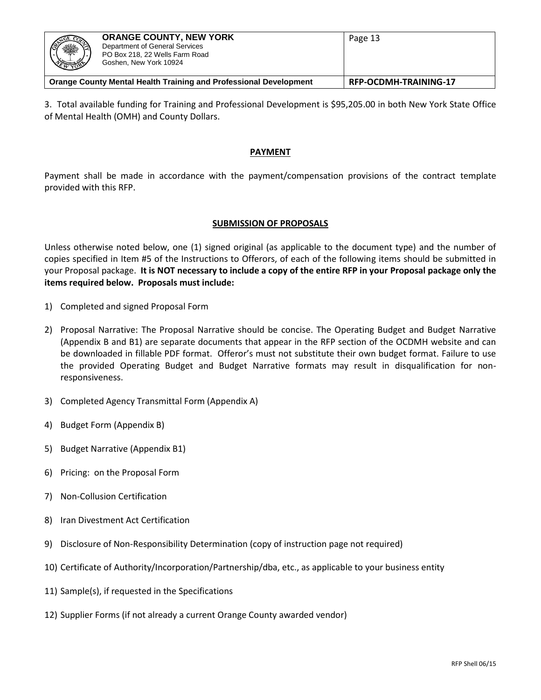| ※<br>***                                                                 | <b>ORANGE COUNTY, NEW YORK</b><br>Department of General Services<br>PO Box 218, 22 Wells Farm Road<br>Goshen, New York 10924 | Page 13               |
|--------------------------------------------------------------------------|------------------------------------------------------------------------------------------------------------------------------|-----------------------|
| <b>Orange County Mental Health Training and Professional Development</b> |                                                                                                                              | RFP-OCDMH-TRAINING-17 |

3. Total available funding for Training and Professional Development is \$95,205.00 in both New York State Office of Mental Health (OMH) and County Dollars.

#### **PAYMENT**

Payment shall be made in accordance with the payment/compensation provisions of the contract template provided with this RFP.

## **SUBMISSION OF PROPOSALS**

Unless otherwise noted below, one (1) signed original (as applicable to the document type) and the number of copies specified in Item #5 of the Instructions to Offerors, of each of the following items should be submitted in your Proposal package. **It is NOT necessary to include a copy of the entire RFP in your Proposal package only the items required below. Proposals must include:**

- 1) Completed and signed Proposal Form
- 2) Proposal Narrative: The Proposal Narrative should be concise. The Operating Budget and Budget Narrative (Appendix B and B1) are separate documents that appear in the RFP section of the OCDMH website and can be downloaded in fillable PDF format. Offeror's must not substitute their own budget format. Failure to use the provided Operating Budget and Budget Narrative formats may result in disqualification for nonresponsiveness.
- 3) Completed Agency Transmittal Form (Appendix A)
- 4) Budget Form (Appendix B)
- 5) Budget Narrative (Appendix B1)
- 6) Pricing: on the Proposal Form
- 7) Non-Collusion Certification
- 8) Iran Divestment Act Certification
- 9) Disclosure of Non-Responsibility Determination (copy of instruction page not required)
- 10) Certificate of Authority/Incorporation/Partnership/dba, etc., as applicable to your business entity
- 11) Sample(s), if requested in the Specifications
- 12) Supplier Forms (if not already a current Orange County awarded vendor)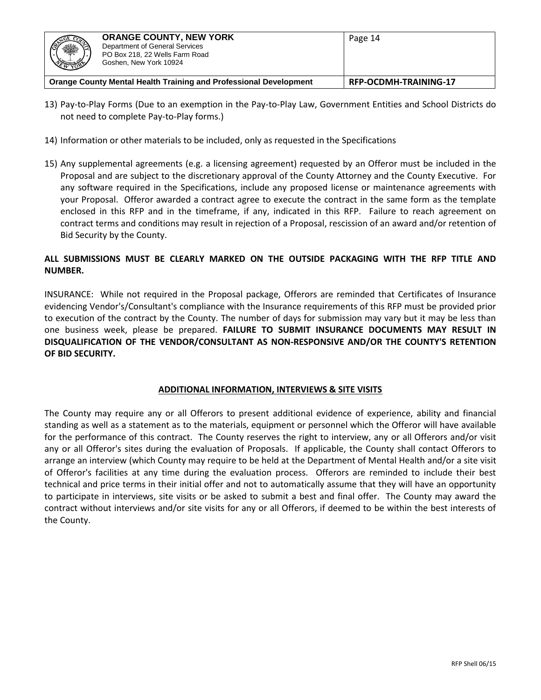| <b>SERIES</b>                                                     | <b>ORANGE COUNTY, NEW YORK</b><br>Department of General Services<br>PO Box 218, 22 Wells Farm Road<br>Goshen, New York 10924 | Page 14               |
|-------------------------------------------------------------------|------------------------------------------------------------------------------------------------------------------------------|-----------------------|
| Orange County Mental Health Training and Professional Development |                                                                                                                              | RFP-OCDMH-TRAINING-17 |

- 13) Pay-to-Play Forms (Due to an exemption in the Pay-to-Play Law, Government Entities and School Districts do not need to complete Pay-to-Play forms.)
- 14) Information or other materials to be included, only as requested in the Specifications
- 15) Any supplemental agreements (e.g. a licensing agreement) requested by an Offeror must be included in the Proposal and are subject to the discretionary approval of the County Attorney and the County Executive. For any software required in the Specifications, include any proposed license or maintenance agreements with your Proposal. Offeror awarded a contract agree to execute the contract in the same form as the template enclosed in this RFP and in the timeframe, if any, indicated in this RFP. Failure to reach agreement on contract terms and conditions may result in rejection of a Proposal, rescission of an award and/or retention of Bid Security by the County.

# **ALL SUBMISSIONS MUST BE CLEARLY MARKED ON THE OUTSIDE PACKAGING WITH THE RFP TITLE AND NUMBER.**

INSURANCE: While not required in the Proposal package, Offerors are reminded that Certificates of Insurance evidencing Vendor's/Consultant's compliance with the Insurance requirements of this RFP must be provided prior to execution of the contract by the County. The number of days for submission may vary but it may be less than one business week, please be prepared. **FAILURE TO SUBMIT INSURANCE DOCUMENTS MAY RESULT IN DISQUALIFICATION OF THE VENDOR/CONSULTANT AS NON-RESPONSIVE AND/OR THE COUNTY'S RETENTION OF BID SECURITY.**

#### **ADDITIONAL INFORMATION, INTERVIEWS & SITE VISITS**

The County may require any or all Offerors to present additional evidence of experience, ability and financial standing as well as a statement as to the materials, equipment or personnel which the Offeror will have available for the performance of this contract. The County reserves the right to interview, any or all Offerors and/or visit any or all Offeror's sites during the evaluation of Proposals. If applicable, the County shall contact Offerors to arrange an interview (which County may require to be held at the Department of Mental Health and/or a site visit of Offeror's facilities at any time during the evaluation process. Offerors are reminded to include their best technical and price terms in their initial offer and not to automatically assume that they will have an opportunity to participate in interviews, site visits or be asked to submit a best and final offer. The County may award the contract without interviews and/or site visits for any or all Offerors, if deemed to be within the best interests of the County.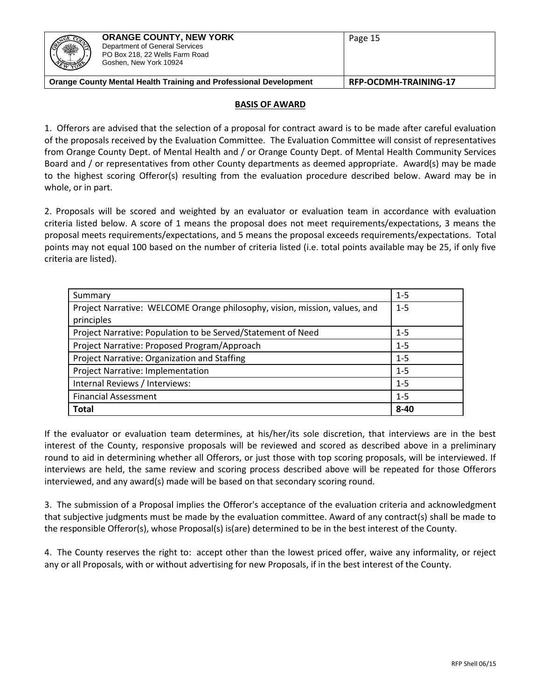| ※<br>$\frac{1}{N}$                                                       | <b>ORANGE COUNTY, NEW YORK</b><br>Department of General Services<br>PO Box 218, 22 Wells Farm Road<br>Goshen, New York 10924 | Page 15                      |
|--------------------------------------------------------------------------|------------------------------------------------------------------------------------------------------------------------------|------------------------------|
| <b>Orange County Mental Health Training and Professional Development</b> |                                                                                                                              | <b>RFP-OCDMH-TRAINING-17</b> |

## **BASIS OF AWARD**

1. Offerors are advised that the selection of a proposal for contract award is to be made after careful evaluation of the proposals received by the Evaluation Committee. The Evaluation Committee will consist of representatives from Orange County Dept. of Mental Health and / or Orange County Dept. of Mental Health Community Services Board and / or representatives from other County departments as deemed appropriate. Award(s) may be made to the highest scoring Offeror(s) resulting from the evaluation procedure described below. Award may be in whole, or in part.

2. Proposals will be scored and weighted by an evaluator or evaluation team in accordance with evaluation criteria listed below. A score of 1 means the proposal does not meet requirements/expectations, 3 means the proposal meets requirements/expectations, and 5 means the proposal exceeds requirements/expectations. Total points may not equal 100 based on the number of criteria listed (i.e. total points available may be 25, if only five criteria are listed).

| Summary                                                                    | $1 - 5$  |
|----------------------------------------------------------------------------|----------|
| Project Narrative: WELCOME Orange philosophy, vision, mission, values, and | $1 - 5$  |
| principles                                                                 |          |
| Project Narrative: Population to be Served/Statement of Need               | $1 - 5$  |
| Project Narrative: Proposed Program/Approach                               | $1 - 5$  |
| Project Narrative: Organization and Staffing                               | $1 - 5$  |
| <b>Project Narrative: Implementation</b>                                   | $1 - 5$  |
| Internal Reviews / Interviews:                                             | $1 - 5$  |
| <b>Financial Assessment</b>                                                | $1 - 5$  |
| <b>Total</b>                                                               | $8 - 40$ |

If the evaluator or evaluation team determines, at his/her/its sole discretion, that interviews are in the best interest of the County, responsive proposals will be reviewed and scored as described above in a preliminary round to aid in determining whether all Offerors, or just those with top scoring proposals, will be interviewed. If interviews are held, the same review and scoring process described above will be repeated for those Offerors interviewed, and any award(s) made will be based on that secondary scoring round.

3. The submission of a Proposal implies the Offeror's acceptance of the evaluation criteria and acknowledgment that subjective judgments must be made by the evaluation committee. Award of any contract(s) shall be made to the responsible Offeror(s), whose Proposal(s) is(are) determined to be in the best interest of the County.

4. The County reserves the right to: accept other than the lowest priced offer, waive any informality, or reject any or all Proposals, with or without advertising for new Proposals, if in the best interest of the County.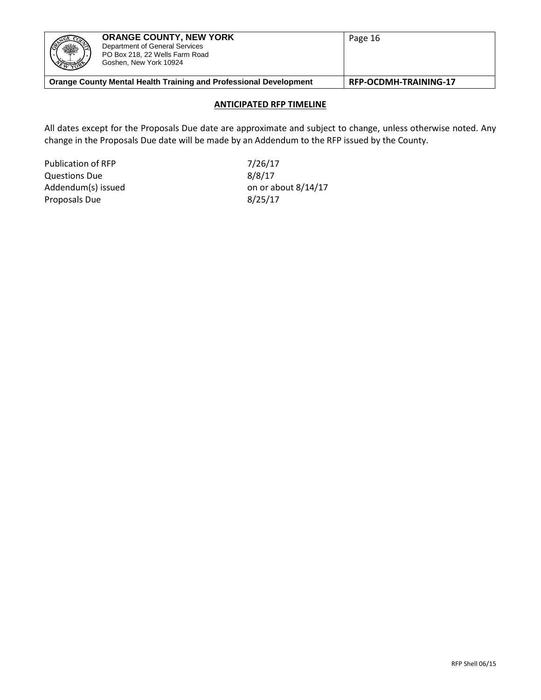| <b>ORANGE COUNTY, NEW YORK</b><br><b>NOE CO</b><br>※<br>Department of General Services<br>PO Box 218, 22 Wells Farm Road<br><b>READER</b><br>Goshen, New York 10924 |  | Page 16                      |
|---------------------------------------------------------------------------------------------------------------------------------------------------------------------|--|------------------------------|
| <b>Orange County Mental Health Training and Professional Development</b>                                                                                            |  | <b>RFP-OCDMH-TRAINING-17</b> |

# **ANTICIPATED RFP TIMELINE**

All dates except for the Proposals Due date are approximate and subject to change, unless otherwise noted. Any change in the Proposals Due date will be made by an Addendum to the RFP issued by the County.

Publication of RFP 7/26/17 Questions Due 8/8/17 Proposals Due 8/25/17

Addendum(s) issued on or about 8/14/17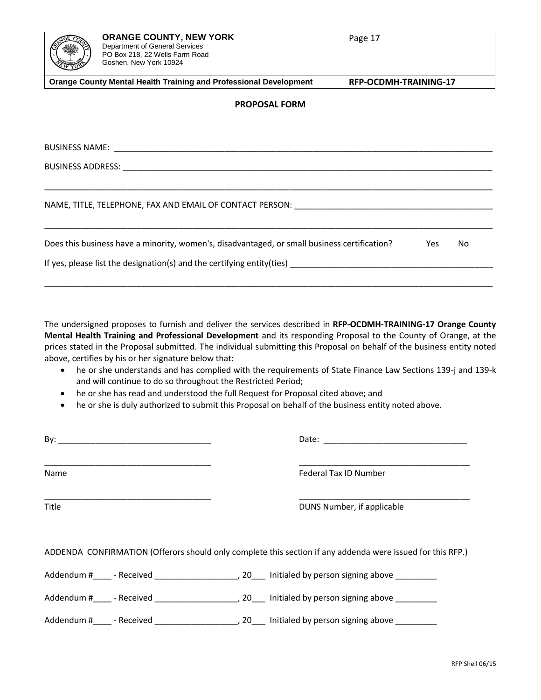| <b>ORANGE COUNTY, NEW YORK</b><br>Department of General Services<br>PO Box 218, 22 Wells Farm Road<br>Goshen, New York 10924 |  | Page 17                      |  |
|------------------------------------------------------------------------------------------------------------------------------|--|------------------------------|--|
| <b>Orange County Mental Health Training and Professional Development</b>                                                     |  | <b>RFP-OCDMH-TRAINING-17</b> |  |
| <b>PROPOSAL FORM</b>                                                                                                         |  |                              |  |

BUSINESS NAME: \_\_\_\_\_\_\_\_\_\_\_\_\_\_\_\_\_\_\_\_\_\_\_\_\_\_\_\_\_\_\_\_\_\_\_\_\_\_\_\_\_\_\_\_\_\_\_\_\_\_\_\_\_\_\_\_\_\_\_\_\_\_\_\_\_\_\_\_\_\_\_\_\_\_\_\_\_\_\_\_\_\_

BUSINESS ADDRESS: with a state of the state of the state of the state of the state of the state of the state of the state of the state of the state of the state of the state of the state of the state of the state of the st

NAME, TITLE, TELEPHONE, FAX AND EMAIL OF CONTACT PERSON: \_\_\_\_\_\_\_\_\_\_\_\_\_\_\_\_\_\_\_\_\_\_\_\_\_\_\_\_\_\_\_\_\_\_\_\_\_\_\_\_\_\_\_

| Does this business have a minority, women's, disadvantaged, or small business certification? | Yes | No. |
|----------------------------------------------------------------------------------------------|-----|-----|
| If yes, please list the designation(s) and the certifying entity(ties)                       |     |     |
|                                                                                              |     |     |

\_\_\_\_\_\_\_\_\_\_\_\_\_\_\_\_\_\_\_\_\_\_\_\_\_\_\_\_\_\_\_\_\_\_\_\_\_\_\_\_\_\_\_\_\_\_\_\_\_\_\_\_\_\_\_\_\_\_\_\_\_\_\_\_\_\_\_\_\_\_\_\_\_\_\_\_\_\_\_\_\_\_\_\_\_\_\_\_\_\_\_\_\_\_\_\_\_

\_\_\_\_\_\_\_\_\_\_\_\_\_\_\_\_\_\_\_\_\_\_\_\_\_\_\_\_\_\_\_\_\_\_\_\_\_\_\_\_\_\_\_\_\_\_\_\_\_\_\_\_\_\_\_\_\_\_\_\_\_\_\_\_\_\_\_\_\_\_\_\_\_\_\_\_\_\_\_\_\_\_\_\_\_\_\_\_\_\_\_\_\_\_\_\_\_

The undersigned proposes to furnish and deliver the services described in **RFP-OCDMH-TRAINING-17 Orange County Mental Health Training and Professional Development** and its responding Proposal to the County of Orange, at the prices stated in the Proposal submitted. The individual submitting this Proposal on behalf of the business entity noted above, certifies by his or her signature below that:

- he or she understands and has complied with the requirements of State Finance Law Sections 139-j and 139-k and will continue to do so throughout the Restricted Period;
- he or she has read and understood the full Request for Proposal cited above; and
- he or she is duly authorized to submit this Proposal on behalf of the business entity noted above.

| Name  | Federal Tax ID Number                                                                                      |
|-------|------------------------------------------------------------------------------------------------------------|
| Title | DUNS Number, if applicable                                                                                 |
|       | ADDENDA CONFIRMATION (Offerors should only complete this section if any addenda were issued for this RFP.) |
|       |                                                                                                            |
|       |                                                                                                            |
|       |                                                                                                            |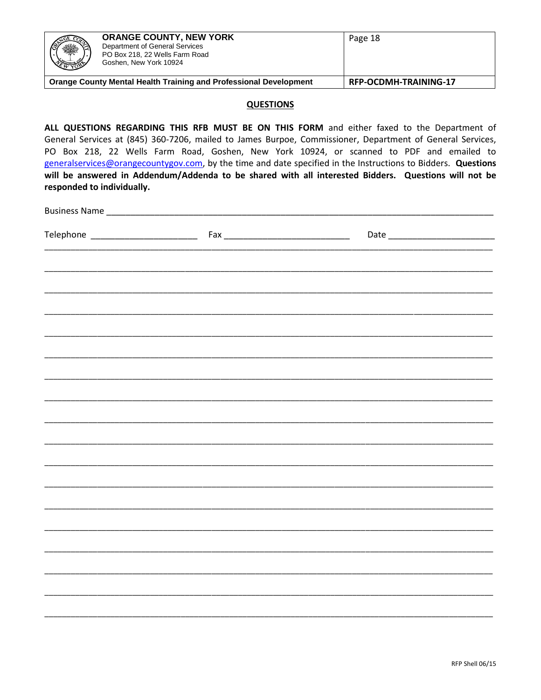| ※<br><b>EMBERGE</b>                                                      | <b>ORANGE COUNTY, NEW YORK</b><br>Department of General Services<br>PO Box 218, 22 Wells Farm Road<br>Goshen, New York 10924 | Page 18                      |
|--------------------------------------------------------------------------|------------------------------------------------------------------------------------------------------------------------------|------------------------------|
| <b>Orange County Mental Health Training and Professional Development</b> |                                                                                                                              | <b>RFP-OCDMH-TRAINING-17</b> |

#### **QUESTIONS**

ALL QUESTIONS REGARDING THIS RFB MUST BE ON THIS FORM and either faxed to the Department of General Services at (845) 360-7206, mailed to James Burpoe, Commissioner, Department of General Services, PO Box 218, 22 Wells Farm Road, Goshen, New York 10924, or scanned to PDF and emailed to generalservices@orangecountygov.com, by the time and date specified in the Instructions to Bidders. Questions will be answered in Addendum/Addenda to be shared with all interested Bidders. Questions will not be responded to individually.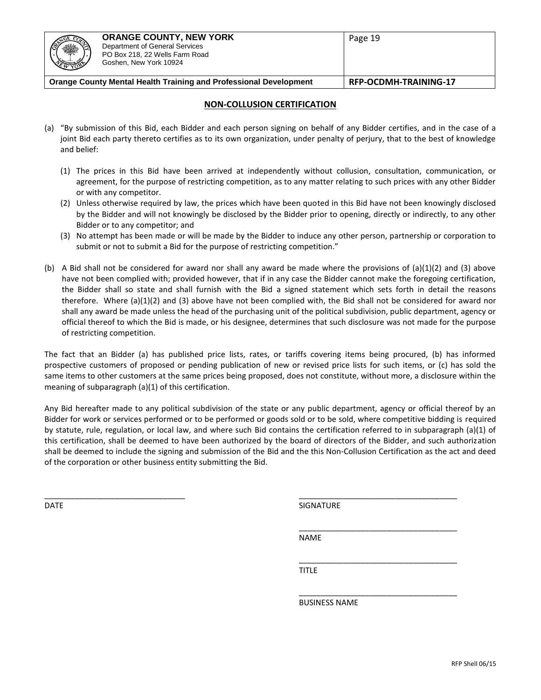| (N<br>※<br>A REAL                                                        | <b>ORANGE COUNTY, NEW YORK</b><br>Department of General Services<br>PO Box 218, 22 Wells Farm Road<br>Goshen, New York 10924 | Page 19                      |
|--------------------------------------------------------------------------|------------------------------------------------------------------------------------------------------------------------------|------------------------------|
| <b>Orange County Mental Health Training and Professional Development</b> |                                                                                                                              | <b>RFP-OCDMH-TRAINING-17</b> |

#### **NON-COLLUSION CERTIFICATION**

- (a) "By submission of this Bid, each Bidder and each person signing on behalf of any Bidder certifies, and in the case of a joint Bid each party thereto certifies as to its own organization, under penalty of perjury, that to the best of knowledge and belief:
	- (1) The prices in this Bid have been arrived at independently without collusion, consultation, communication, or agreement, for the purpose of restricting competition, as to any matter relating to such prices with any other Bidder or with any competitor.
	- (2) Unless otherwise required by law, the prices which have been quoted in this Bid have not been knowingly disclosed by the Bidder and will not knowingly be disclosed by the Bidder prior to opening, directly or indirectly, to any other Bidder or to any competitor; and
	- (3) No attempt has been made or will be made by the Bidder to induce any other person, partnership or corporation to submit or not to submit a Bid for the purpose of restricting competition."
- (b) A Bid shall not be considered for award nor shall any award be made where the provisions of (a)(1)(2) and (3) above have not been complied with; provided however, that if in any case the Bidder cannot make the foregoing certification, the Bidder shall so state and shall furnish with the Bid a signed statement which sets forth in detail the reasons therefore. Where (a)(1)(2) and (3) above have not been complied with, the Bid shall not be considered for award nor shall any award be made unless the head of the purchasing unit of the political subdivision, public department, agency or official thereof to which the Bid is made, or his designee, determines that such disclosure was not made for the purpose of restricting competition.

The fact that an Bidder (a) has published price lists, rates, or tariffs covering items being procured, (b) has informed prospective customers of proposed or pending publication of new or revised price lists for such items, or (c) has sold the same items to other customers at the same prices being proposed, does not constitute, without more, a disclosure within the meaning of subparagraph (a)(1) of this certification.

Any Bid hereafter made to any political subdivision of the state or any public department, agency or official thereof by an Bidder for work or services performed or to be performed or goods sold or to be sold, where competitive bidding is required by statute, rule, regulation, or local law, and where such Bid contains the certification referred to in subparagraph (a)(1) of this certification, shall be deemed to have been authorized by the board of directors of the Bidder, and such authorization shall be deemed to include the signing and submission of the Bid and the this Non-Collusion Certification as the act and deed of the corporation or other business entity submitting the Bid.

 $\overline{\phantom{a}}$  , and the contribution of the contribution of the contribution of the contribution of the contribution of the contribution of the contribution of the contribution of the contribution of the contribution of the

DATE SIGNATURE AND SIGNATURE SIGNATURE AND SIGNATURE AND SIGNATURE AND SIGNATURE AND SIGNATURE AND SIGNATURE AND SIGNATURE AND SIGNATURE AND SIGNATURE AND SIGNATURE AND SIGNATURE AND SIGNATURE AND SIGNATURE AND SIGNATURE A

\_\_\_\_\_\_\_\_\_\_\_\_\_\_\_\_\_\_\_\_\_\_\_\_\_\_\_\_\_\_\_\_\_\_\_\_

\_\_\_\_\_\_\_\_\_\_\_\_\_\_\_\_\_\_\_\_\_\_\_\_\_\_\_\_\_\_\_\_\_\_\_\_

\_\_\_\_\_\_\_\_\_\_\_\_\_\_\_\_\_\_\_\_\_\_\_\_\_\_\_\_\_\_\_\_\_\_\_\_

NAME

TITLE

BUSINESS NAME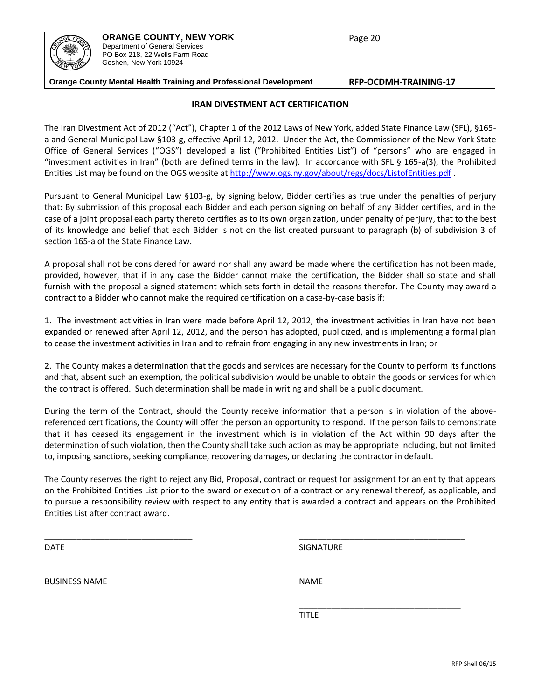| ßĬ | <b>ORANGE COUNTY, NEW YORK</b><br>Department of General Services<br>PO Box 218, 22 Wells Farm Road<br>Goshen, New York 10924 | Page 20 |
|----|------------------------------------------------------------------------------------------------------------------------------|---------|
|    | .                                                                                                                            |         |

# **Orange County Mental Health Training and Professional Development RFP-OCDMH-TRAINING-17**

#### **IRAN DIVESTMENT ACT CERTIFICATION**

The Iran Divestment Act of 2012 ("Act"), Chapter 1 of the 2012 Laws of New York, added State Finance Law (SFL), §165 a and General Municipal Law §103-g, effective April 12, 2012. Under the Act, the Commissioner of the New York State Office of General Services ("OGS") developed a list ("Prohibited Entities List") of "persons" who are engaged in "investment activities in Iran" (both are defined terms in the law). In accordance with SFL § 165-a(3), the Prohibited Entities List may be found on the OGS website a[t http://www.ogs.ny.gov/about/regs/docs/ListofEntities.pdf](http://www.ogs.ny.gov/about/regs/docs/ListofEntities.pdf) .

Pursuant to General Municipal Law §103-g, by signing below, Bidder certifies as true under the penalties of perjury that: By submission of this proposal each Bidder and each person signing on behalf of any Bidder certifies, and in the case of a joint proposal each party thereto certifies as to its own organization, under penalty of perjury, that to the best of its knowledge and belief that each Bidder is not on the list created pursuant to paragraph (b) of subdivision 3 of section 165-a of the State Finance Law.

A proposal shall not be considered for award nor shall any award be made where the certification has not been made, provided, however, that if in any case the Bidder cannot make the certification, the Bidder shall so state and shall furnish with the proposal a signed statement which sets forth in detail the reasons therefor. The County may award a contract to a Bidder who cannot make the required certification on a case-by-case basis if:

1. The investment activities in Iran were made before April 12, 2012, the investment activities in Iran have not been expanded or renewed after April 12, 2012, and the person has adopted, publicized, and is implementing a formal plan to cease the investment activities in Iran and to refrain from engaging in any new investments in Iran; or

2. The County makes a determination that the goods and services are necessary for the County to perform its functions and that, absent such an exemption, the political subdivision would be unable to obtain the goods or services for which the contract is offered. Such determination shall be made in writing and shall be a public document.

During the term of the Contract, should the County receive information that a person is in violation of the abovereferenced certifications, the County will offer the person an opportunity to respond. If the person fails to demonstrate that it has ceased its engagement in the investment which is in violation of the Act within 90 days after the determination of such violation, then the County shall take such action as may be appropriate including, but not limited to, imposing sanctions, seeking compliance, recovering damages, or declaring the contractor in default.

The County reserves the right to reject any Bid, Proposal, contract or request for assignment for an entity that appears on the Prohibited Entities List prior to the award or execution of a contract or any renewal thereof, as applicable, and to pursue a responsibility review with respect to any entity that is awarded a contract and appears on the Prohibited Entities List after contract award.

\_\_\_\_\_\_\_\_\_\_\_\_\_\_\_\_\_\_\_\_\_\_\_\_\_\_\_\_\_\_\_\_ \_\_\_\_\_\_\_\_\_\_\_\_\_\_\_\_\_\_\_\_\_\_\_\_\_\_\_\_\_\_\_\_\_\_\_\_

\_\_\_\_\_\_\_\_\_\_\_\_\_\_\_\_\_\_\_\_\_\_\_\_\_\_\_\_\_\_\_\_ \_\_\_\_\_\_\_\_\_\_\_\_\_\_\_\_\_\_\_\_\_\_\_\_\_\_\_\_\_\_\_\_\_\_\_\_

DATE SIGNATURE AND SALES AND SALES AND SALES AND SALES AND SIGNATURE

\_\_\_\_\_\_\_\_\_\_\_\_\_\_\_\_\_\_\_\_\_\_\_\_\_\_\_\_\_\_\_\_\_\_\_

BUSINESS NAME NAME NAME NAME

TITLE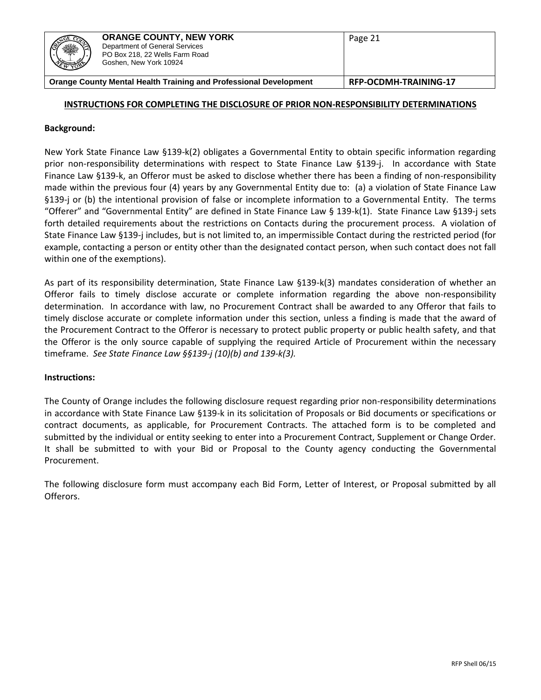| <b>RESERVE</b><br>ا ۱<br><b>RESERVE</b>                           | <b>ORANGE COUNTY, NEW YORK</b><br>Department of General Services<br>PO Box 218, 22 Wells Farm Road<br>Goshen, New York 10924 | Page 21                      |
|-------------------------------------------------------------------|------------------------------------------------------------------------------------------------------------------------------|------------------------------|
| Orange County Mental Health Training and Professional Development |                                                                                                                              | <b>RFP-OCDMH-TRAINING-17</b> |

#### **INSTRUCTIONS FOR COMPLETING THE DISCLOSURE OF PRIOR NON-RESPONSIBILITY DETERMINATIONS**

#### **Background:**

New York State Finance Law §139-k(2) obligates a Governmental Entity to obtain specific information regarding prior non-responsibility determinations with respect to State Finance Law §139-j. In accordance with State Finance Law §139-k, an Offeror must be asked to disclose whether there has been a finding of non-responsibility made within the previous four (4) years by any Governmental Entity due to: (a) a violation of State Finance Law §139-j or (b) the intentional provision of false or incomplete information to a Governmental Entity. The terms "Offerer" and "Governmental Entity" are defined in State Finance Law § 139-k(1). State Finance Law §139-j sets forth detailed requirements about the restrictions on Contacts during the procurement process. A violation of State Finance Law §139-j includes, but is not limited to, an impermissible Contact during the restricted period (for example, contacting a person or entity other than the designated contact person, when such contact does not fall within one of the exemptions).

As part of its responsibility determination, State Finance Law §139-k(3) mandates consideration of whether an Offeror fails to timely disclose accurate or complete information regarding the above non-responsibility determination. In accordance with law, no Procurement Contract shall be awarded to any Offeror that fails to timely disclose accurate or complete information under this section, unless a finding is made that the award of the Procurement Contract to the Offeror is necessary to protect public property or public health safety, and that the Offeror is the only source capable of supplying the required Article of Procurement within the necessary timeframe. *See State Finance Law §§139-j (10)(b) and 139-k(3).*

#### **Instructions:**

The County of Orange includes the following disclosure request regarding prior non-responsibility determinations in accordance with State Finance Law §139-k in its solicitation of Proposals or Bid documents or specifications or contract documents, as applicable, for Procurement Contracts. The attached form is to be completed and submitted by the individual or entity seeking to enter into a Procurement Contract, Supplement or Change Order. It shall be submitted to with your Bid or Proposal to the County agency conducting the Governmental Procurement.

The following disclosure form must accompany each Bid Form, Letter of Interest, or Proposal submitted by all Offerors.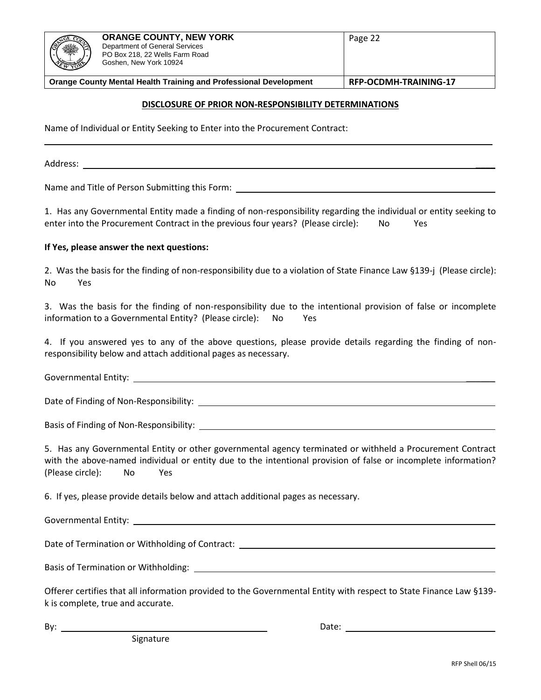| 131<br><b>REAL ARTICLE</b>                                               | <b>ORANGE COUNTY, NEW YORK</b><br>Department of General Services<br>PO Box 218, 22 Wells Farm Road<br>Goshen, New York 10924 | Page 22               |
|--------------------------------------------------------------------------|------------------------------------------------------------------------------------------------------------------------------|-----------------------|
| <b>Orange County Mental Health Training and Professional Development</b> |                                                                                                                              | RFP-OCDMH-TRAINING-17 |

#### **DISCLOSURE OF PRIOR NON-RESPONSIBILITY DETERMINATIONS**

\_\_\_\_\_\_\_\_\_\_\_\_\_\_\_\_\_\_\_\_\_\_\_\_\_\_\_\_\_\_\_\_\_\_\_\_\_\_\_\_\_\_\_\_\_\_\_\_\_\_\_\_\_\_\_\_\_\_\_\_\_\_\_\_\_\_\_\_\_\_\_\_\_\_\_\_\_\_\_\_\_\_\_\_\_\_

Name of Individual or Entity Seeking to Enter into the Procurement Contract:

Address: \_\_\_\_

Name and Title of Person Submitting this Form:

1. Has any Governmental Entity made a finding of non-responsibility regarding the individual or entity seeking to enter into the Procurement Contract in the previous four years? (Please circle): No Yes

#### **If Yes, please answer the next questions:**

2. Was the basis for the finding of non-responsibility due to a violation of State Finance Law §139-j (Please circle): No Yes

3. Was the basis for the finding of non-responsibility due to the intentional provision of false or incomplete information to a Governmental Entity? (Please circle): No Yes

4. If you answered yes to any of the above questions, please provide details regarding the finding of nonresponsibility below and attach additional pages as necessary.

Governmental Entity: **Example 2018** 

Date of Finding of Non-Responsibility:

Basis of Finding of Non-Responsibility:

5. Has any Governmental Entity or other governmental agency terminated or withheld a Procurement Contract with the above-named individual or entity due to the intentional provision of false or incomplete information? (Please circle): No Yes

6. If yes, please provide details below and attach additional pages as necessary.

Governmental Entity:

Date of Termination or Withholding of Contract: \_\_\_\_\_\_\_\_\_\_\_\_\_\_\_\_\_\_\_\_\_\_\_\_\_\_\_\_\_\_\_\_\_

Basis of Termination or Withholding: <u>The Community of Termination</u> or Withholding: The Community of Termination or Withholding:

Offerer certifies that all information provided to the Governmental Entity with respect to State Finance Law §139 k is complete, true and accurate.

By: Date: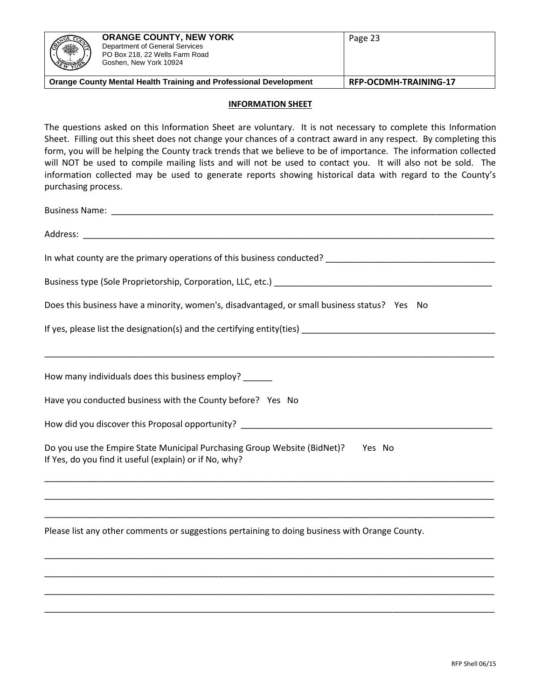| ※<br><b>REAL PROPERTY</b>                                                | <b>ORANGE COUNTY, NEW YORK</b><br>Department of General Services<br>PO Box 218, 22 Wells Farm Road<br>Goshen, New York 10924 | Page 23               |
|--------------------------------------------------------------------------|------------------------------------------------------------------------------------------------------------------------------|-----------------------|
| <b>Orange County Mental Health Training and Professional Development</b> |                                                                                                                              | RFP-OCDMH-TRAINING-17 |

#### **INFORMATION SHEET**

The questions asked on this Information Sheet are voluntary. It is not necessary to complete this Information Sheet. Filling out this sheet does not change your chances of a contract award in any respect. By completing this form, you will be helping the County track trends that we believe to be of importance. The information collected will NOT be used to compile mailing lists and will not be used to contact you. It will also not be sold. The information collected may be used to generate reports showing historical data with regard to the County's purchasing process.

| Does this business have a minority, women's, disadvantaged, or small business status? Yes No                                                 |  |  |
|----------------------------------------------------------------------------------------------------------------------------------------------|--|--|
|                                                                                                                                              |  |  |
| How many individuals does this business employ? ______                                                                                       |  |  |
| Have you conducted business with the County before? Yes No                                                                                   |  |  |
|                                                                                                                                              |  |  |
| Do you use the Empire State Municipal Purchasing Group Website (BidNet)?<br>Yes No<br>If Yes, do you find it useful (explain) or if No, why? |  |  |
| <u> 1989 - Johann Stoff, amerikansk politiker (d. 1989)</u>                                                                                  |  |  |
| Please list any other comments or suggestions pertaining to doing business with Orange County.                                               |  |  |
|                                                                                                                                              |  |  |
|                                                                                                                                              |  |  |
|                                                                                                                                              |  |  |